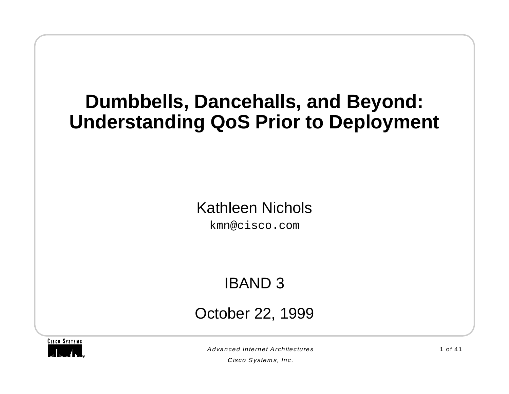# **Dumbbells, Dancehalls, and Beyond: Understanding QoS Prior to Deployment**

#### Kathleen Nichols

kmn@cisco.com

### IBAND 3

October 22, 1999



Advanced Internet Architectures

Cisco Systems, Inc.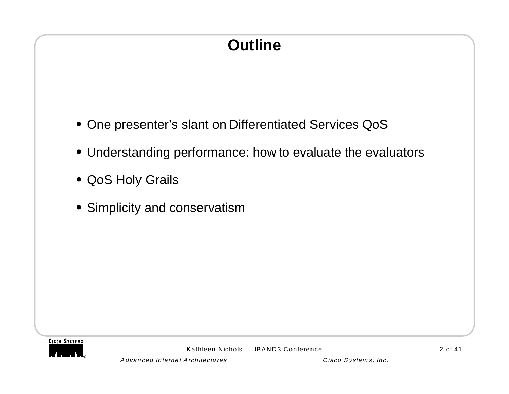# **Outline**

- **•** One presenter's slant on Differentiated Services QoS
- **•** Understanding performance: how to evaluate the evaluators
- **•** QoS Holy Grails
- **•** Simplicity and conservatism

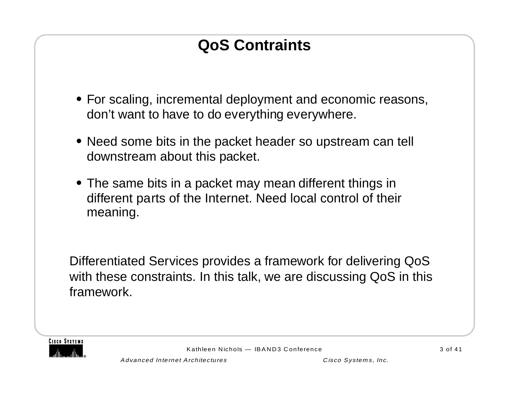# **QoS Contraints**

- **•** For scaling, incremental deployment and economic reasons, don't want to have to do everything everywhere.
- **•** Need some bits in the packet header so upstream can tell downstream about this packet.
- **•** The same bits in a packet may mean different things in different parts of the Internet. Need local control of their meaning.

Differentiated Services provides a framework for delivering QoS with these constraints. In this talk, we are discussing QoS in this framework.

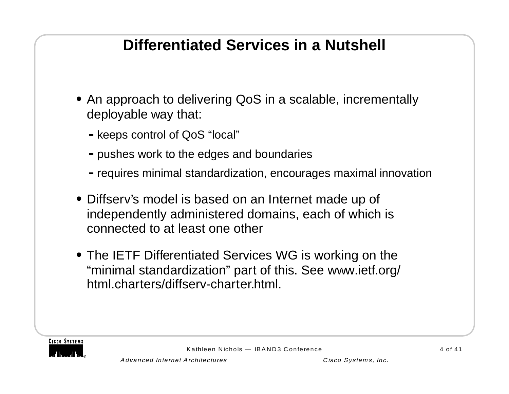### **Differentiated Services in a Nutshell**

- **•** An approach to delivering QoS in a scalable, incrementally deployable way that:
	- **-**keeps control of QoS "local"
	- **-**pushes work to the edges and boundaries
	- **-**requires minimal standardization, encourages maximal innovation
- **•** Diffserv's model is based on an Internet made up of independently administered domains, each of which is connected to at least one other
- **•** The IETF Differentiated Services WG is working on the "minimal standardization" part of this. See www.ietf.org/ html.charters/diffserv-charter.html.

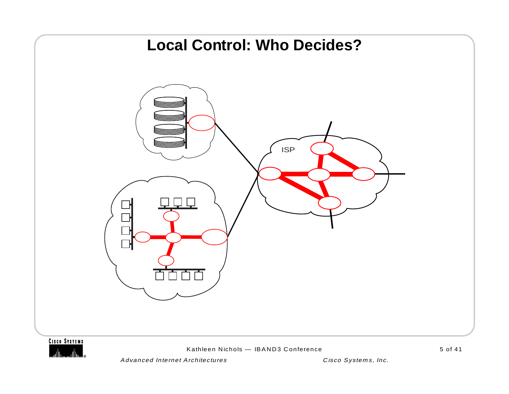



Kathleen Nichols — IBAND3 Conference

Advanced Internet Architectures Cisco Systems, Inc.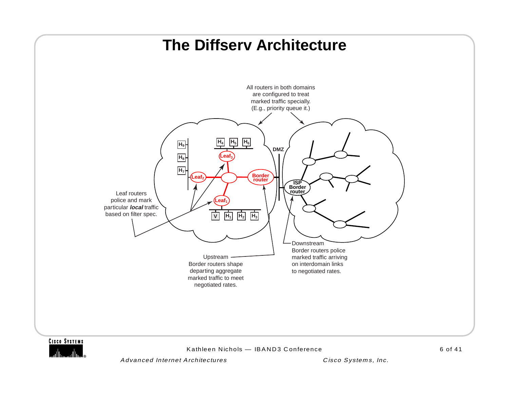#### **The Diffserv Architecture**



Advanced Internet Architectures **Cisco Systems**, Inc.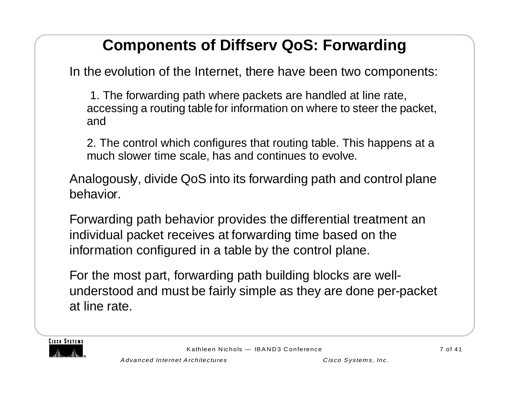### **Components of Diffserv QoS: Forwarding**

In the evolution of the Internet, there have been two components:

 1. The forwarding path where packets are handled at line rate, accessing a routing table for information on where to steer the packet, and

2. The control which configures that routing table. This happens at a much slower time scale, has and continues to evolve.

Analogously, divide QoS into its forwarding path and control plane behavior.

Forwarding path behavior provides the differential treatment an individual packet receives at forwarding time based on the information configured in a table by the control plane.

For the most part, forwarding path building blocks are wellunderstood and must be fairly simple as they are done per-packet at line rate.

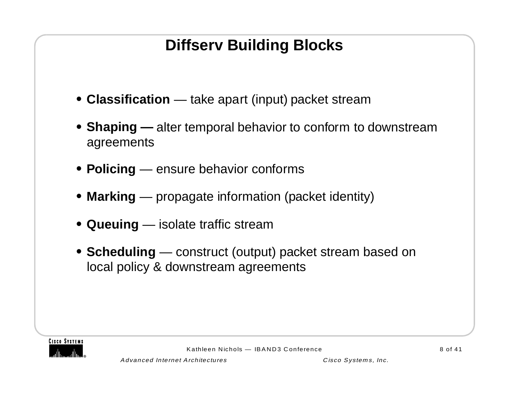# **Diffserv Building Blocks**

- **• Classification** take apart (input) packet stream
- **• Shaping —** alter temporal behavior to conform to downstream agreements
- **• Policing** ensure behavior conforms
- **• Marking** propagate information (packet identity)
- **• Queuing** isolate traffic stream
- **• Scheduling** construct (output) packet stream based on local policy & downstream agreements

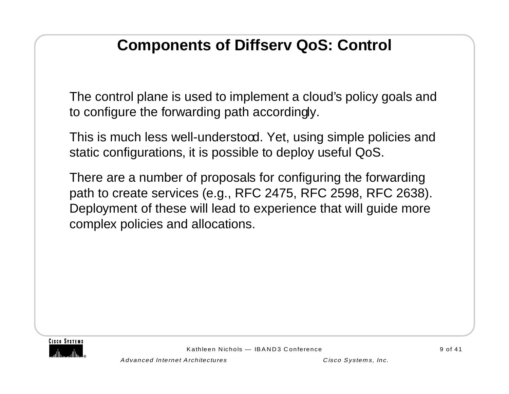### **Components of Diffserv QoS: Control**

The control plane is used to implement a cloud's policy goals and to configure the forwarding path accordingly.

This is much less well-understocd. Yet, using simple policies and static configurations, it is possible to deploy useful QoS.

There are a number of proposals for configuring the forwarding path to create services (e.g., RFC 2475, RFC 2598, RFC 2638). Deployment of these will lead to experience that will guide more complex policies and allocations.

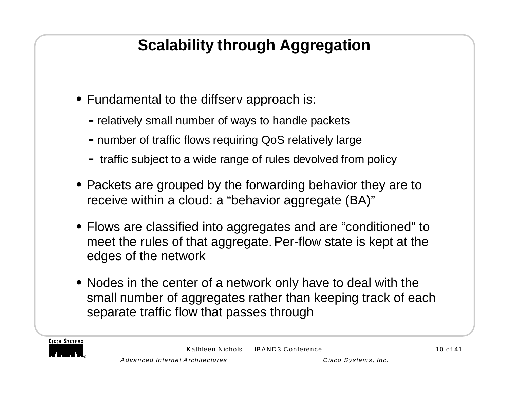# **Scalability through Aggregation**

- **•** Fundamental to the diffserv approach is:
	- **-**relatively small number of ways to handle packets
	- **-**number of traffic flows requiring QoS relatively large
	- **-** traffic subject to a wide range of rules devolved from policy
- **•** Packets are grouped by the forwarding behavior they are to receive within a cloud: a "behavior aggregate (BA)"
- **•** Flows are classified into aggregates and are "conditioned" to meet the rules of that aggregate. Per-flow state is kept at the edges of the network
- **•** Nodes in the center of a network only have to deal with the small number of aggregates rather than keeping track of each separate traffic flow that passes through

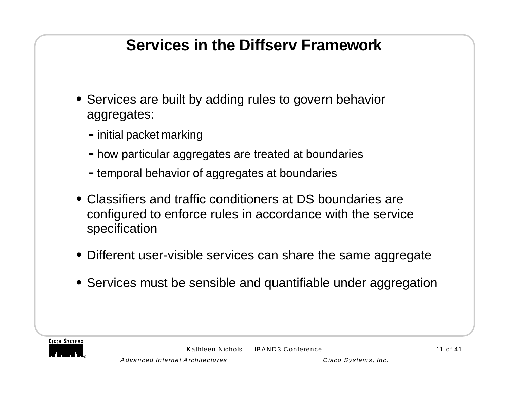### **Services in the Diffserv Framework**

- **•** Services are built by adding rules to govern behavior aggregates:
	- **-**initial packet marking
	- **-**how particular aggregates are treated at boundaries
	- **-**temporal behavior of aggregates at boundaries
- **•** Classifiers and traffic conditioners at DS boundaries are configured to enforce rules in accordance with the service specification
- **•** Different user-visible services can share the same aggregate
- **•** Services must be sensible and quantifiable under aggregation

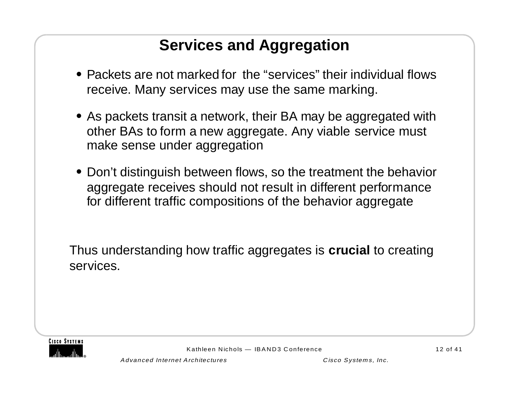### **Services and Aggregation**

- **•** Packets are not marked for the "services" their individual flows receive. Many services may use the same marking.
- **•** As packets transit a network, their BA may be aggregated with other BAs to form a new aggregate. Any viable service must make sense under aggregation
- **•** Don't distinguish between flows, so the treatment the behavior aggregate receives should not result in different performance for different traffic compositions of the behavior aggregate

Thus understanding how traffic aggregates is **crucial** to creating services.

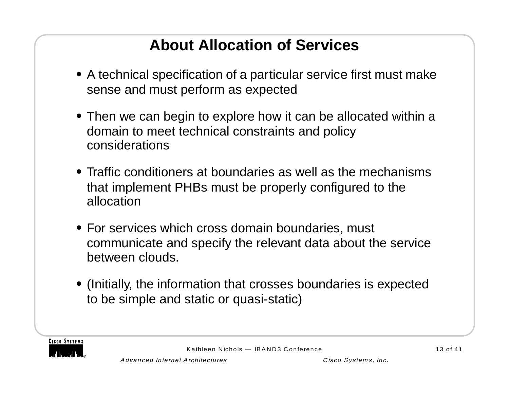# **About Allocation of Services**

- **•** A technical specification of a particular service first must make sense and must perform as expected
- **•** Then we can begin to explore how it can be allocated within a domain to meet technical constraints and policy considerations
- **•** Traffic conditioners at boundaries as well as the mechanisms that implement PHBs must be properly configured to the allocation
- **•** For services which cross domain boundaries, must communicate and specify the relevant data about the service between clouds.
- **•** (Initially, the information that crosses boundaries is expected to be simple and static or quasi-static)

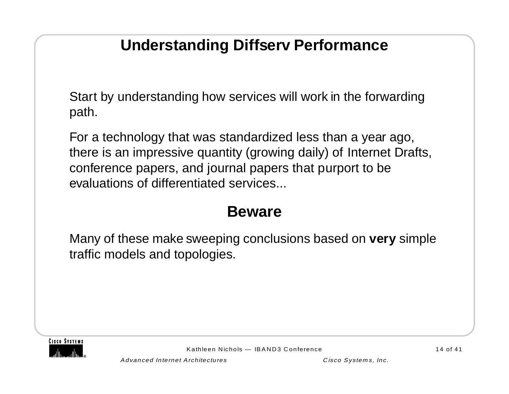### **Understanding Diffserv Performance**

Start by understanding how services will work in the forwarding path.

For a technology that was standardized less than a year ago, there is an impressive quantity (growing daily) of Internet Drafts, conference papers, and journal papers that purport to be evaluations of differentiated services

#### **Beware**

Many of these make sweeping conclusions based on **very** simple traffic models and topologies.



Kathleen Nichols — IBAND3 Conference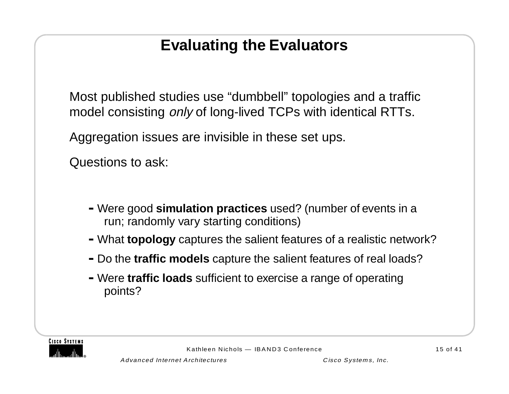### **Evaluating the Evaluators**

Most published studies use "dumbbell" topologies and a traffic model consisting *only* of long-lived TCPs with identical RTTs.

Aggregation issues are invisible in these set ups.

Questions to ask:

- **-**Were good **simulation practices** used? (number of events in a run; randomly vary starting conditions)
- **-**What **topology** captures the salient features of a realistic network?
- **-**Do the **traffic models** capture the salient features of real loads?
- **-**Were **traffic loads** sufficient to exercise a range of operating points?

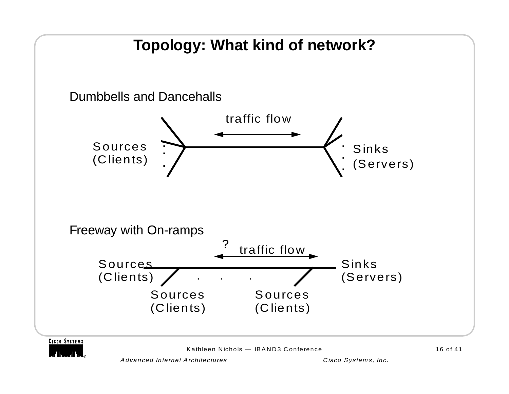# **Topology: What kind of network?**



Kathleen Nichols — IBAND3 Conference

16 of 41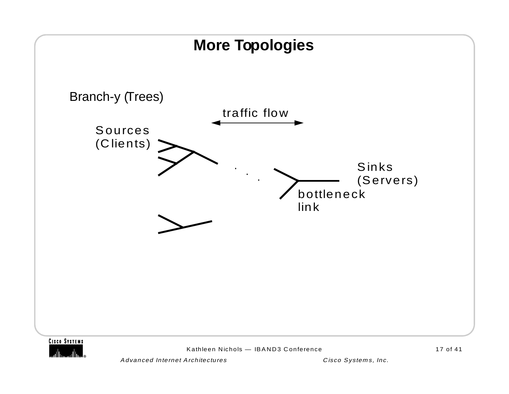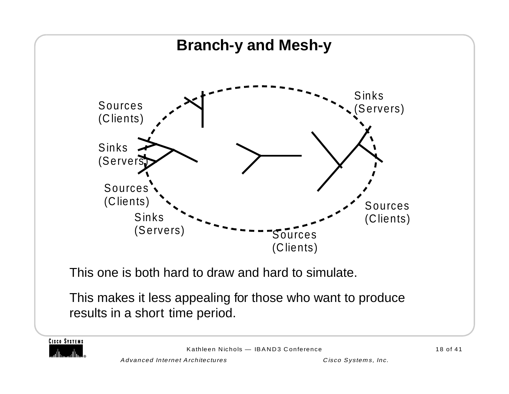

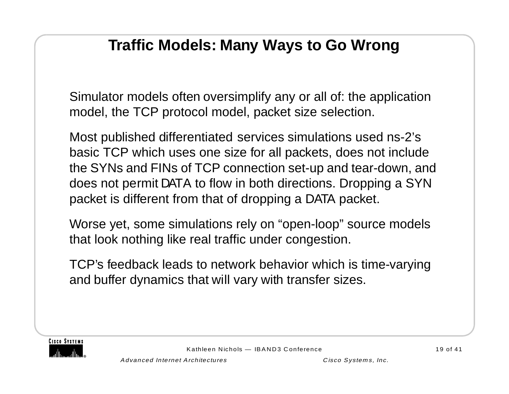### **Traffic Models: Many Ways to Go Wrong**

Simulator models often oversimplify any or all of: the application model, the TCP protocol model, packet size selection.

Most published differentiated services simulations used ns-2's basic TCP which uses one size for all packets, does not include the SYNs and FINs of TCP connection set-up and tear-down, and does not permit DATA to flow in both directions. Dropping a SYN packet is different from that of dropping a DATA packet.

Worse yet, some simulations rely on "open-loop" source models that look nothing like real traffic under congestion.

TCP's feedback leads to network behavior which is time-varying and buffer dynamics that will vary with transfer sizes.

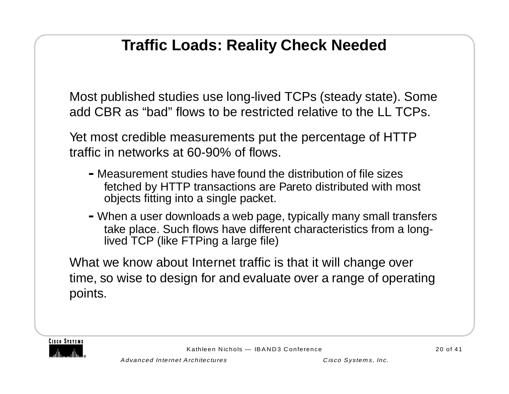### **Traffic Loads: Reality Check Needed**

Most published studies use long-lived TCPs (steady state). Some add CBR as "bad" flows to be restricted relative to the LL TCPs.

Yet most credible measurements put the percentage of HTTP traffic in networks at 60-90% of flows.

- **-**Measurement studies have found the distribution of file sizes fetched by HTTP transactions are Pareto distributed with most objects fitting into a single packet.
- **-**When a user downloads a web page, typically many small transfers take place. Such flows have different characteristics from a longlived TCP (like FTPing a large file)

What we know about Internet traffic is that it will change over time, so wise to design for and evaluate over a range of operating points.

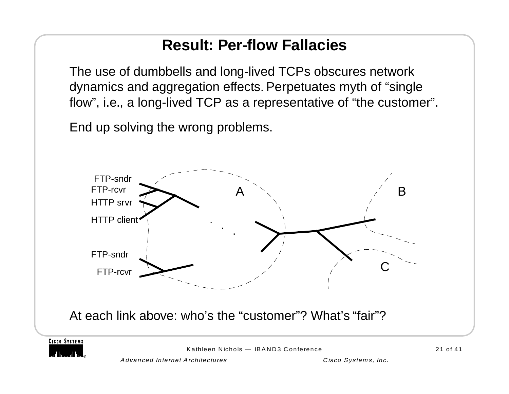### **Result: Per-flow Fallacies**

The use of dumbbells and long-lived TCPs obscures network dynamics and aggregation effects. Perpetuates myth of "single flow", i.e., a long-lived TCP as a representative of "the customer".

End up solving the wrong problems.





Kathleen Nichols — IBAND3 Conference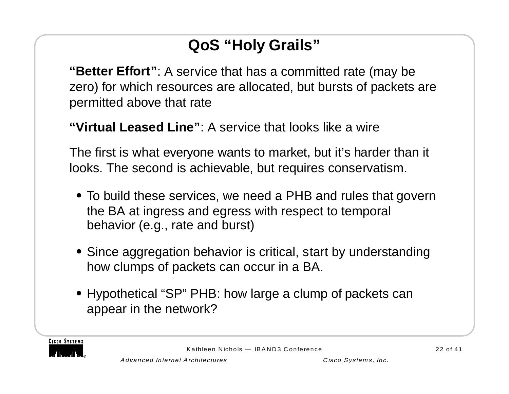# **QoS "Holy Grails"**

**"Better Effort"**: A service that has a committed rate (may be zero) for which resources are allocated, but bursts of packets are permitted above that rate

**"Virtual Leased Line"**: A service that looks like a wire

The first is what everyone wants to market, but it's harder than it looks. The second is achievable, but requires conservatism.

- **•** To build these services, we need a PHB and rules that govern the BA at ingress and egress with respect to temporal behavior (e.g., rate and burst)
- **•** Since aggregation behavior is critical, start by understanding how clumps of packets can occur in a BA.
- **•** Hypothetical "SP" PHB: how large a clump of packets can appear in the network?

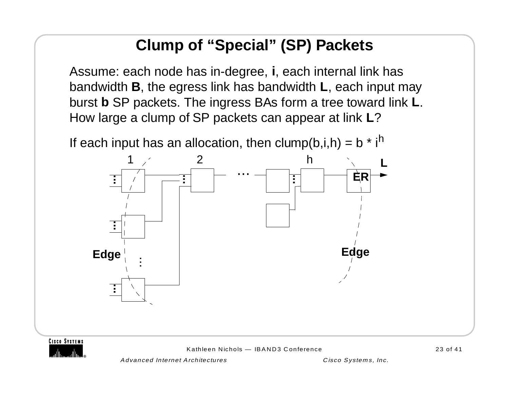### **Clump of "Special" (SP) Packets**

Assume: each node has in-degree, **i**, each internal link has bandwidth **B**, the egress link has bandwidth **L**, each input may burst **b** SP packets. The ingress BAs form a tree toward link **L**. How large a clump of SP packets can appear at link **L**?



**CISCO SYSTEMS** 

Kathleen Nichols — IBAND3 Conference

Advanced Internet Architectures Cisco Systems, Inc.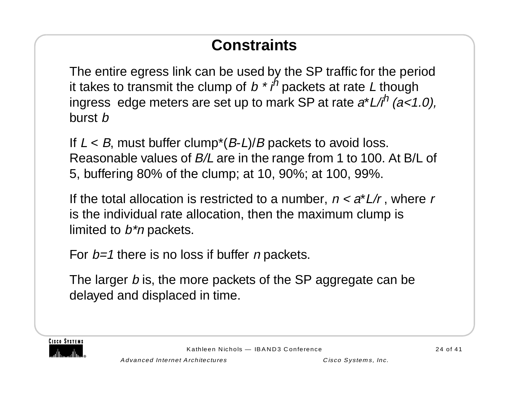# **Constraints**

The entire egress link can be used by the SP traffic for the period it takes to transmit the clump of  $b * i^h$  packets at rate L though ingress edge meters are set up to mark SP at rate  $a^*L/i^h$  (a<1.0), burst b

If  $L < B$ , must buffer clump<sup>\*</sup>( $B$ -L)/ $B$  packets to avoid loss. Reasonable values of B/L are in the range from 1 to 100. At B/L of 5, buffering 80% of the clump; at 10, 90%; at 100, 99%.

If the total allocation is restricted to a number,  $n < a^*L/r$ , where r is the individual rate allocation, then the maximum clump is limited to  $b^*n$  packets.

For  $b=1$  there is no loss if buffer *n* packets.

The larger b is, the more packets of the SP aggregate can be delayed and displaced in time.

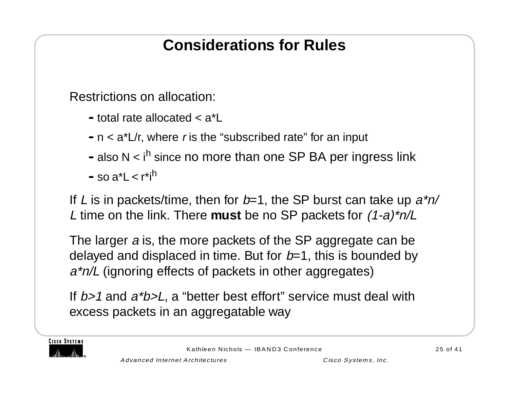### **Considerations for Rules**

Restrictions on allocation:

- **-**total rate allocated < a\*L
- **-**n < a\*L/r, where r is the "subscribed rate" for an input
- **-**also N < ih since no more than one SP BA per ingress link
- $-$ so a<sup>\*</sup>L < r<sup>\*jh</sup>

If L is in packets/time, then for  $b=1$ , the SP burst can take up  $a<sup>*</sup>n/$ L time on the link. There **must** be no SP packets for (1-a)\*n/L

The larger a is, the more packets of the SP aggregate can be delayed and displaced in time. But for  $b=1$ , this is bounded by a\*n/L (ignoring effects of packets in other aggregates)

If b>1 and a\*b>L, a "better best effort" service must deal with excess packets in an aggregatable way

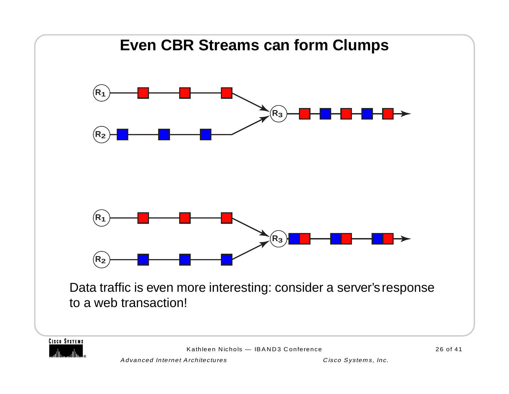

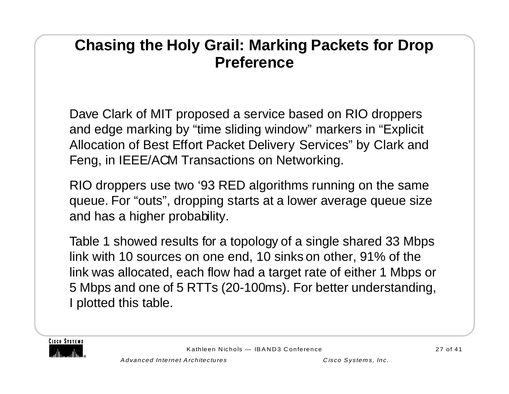#### **Chasing the Holy Grail: Marking Packets for Drop Preference**

Dave Clark of MIT proposed a service based on RIO droppers and edge marking by "time sliding window" markers in "Explicit Allocation of Best Effort Packet Delivery Services" by Clark and Feng, in IEEE/ACM Transactions on Networking.

RIO droppers use two '93 RED algorithms running on the same queue. For "outs", dropping starts at a lower average queue size and has a higher probability.

Table 1 showed results for a topology of a single shared 33 Mbps link with 10 sources on one end, 10 sinks on other, 91% of the link was allocated, each flow had a target rate of either 1 Mbps or 5 Mbps and one of 5 RTTs (20-100ms). For better understanding, I plotted this table.

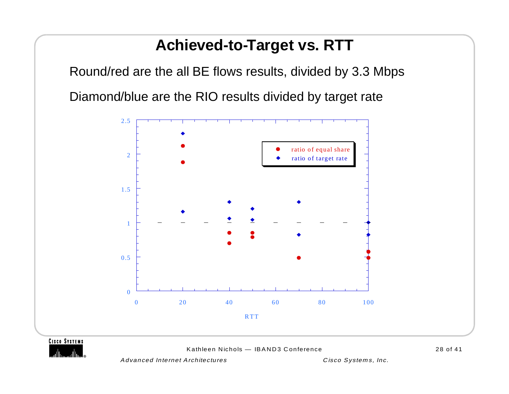#### **Achieved-to-Target vs. RTT**

Round/red are the all BE flows results, divided by 3.3 Mbps Diamond/blue are the RIO results divided by target rate



**CISCO SYSTEMS** 

Kathleen Nichols — IBAND3 Conference

Advanced Internet Architectures and Cisco Systems, Inc.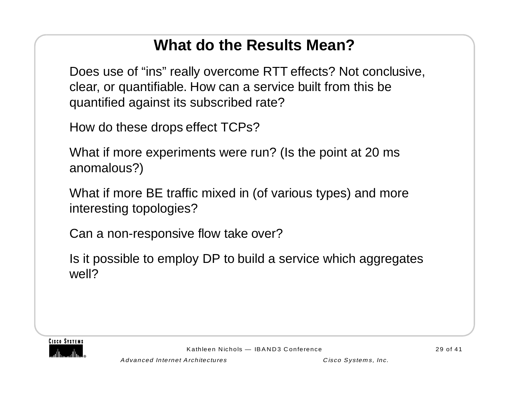### **What do the Results Mean?**

Does use of "ins" really overcome RTT effects? Not conclusive, clear, or quantifiable. How can a service built from this be quantified against its subscribed rate?

How do these drops effect TCPs?

What if more experiments were run? (Is the point at 20 ms anomalous?)

What if more BE traffic mixed in (of various types) and more interesting topologies?

Can a non-responsive flow take over?

Is it possible to employ DP to build a service which aggregates well?

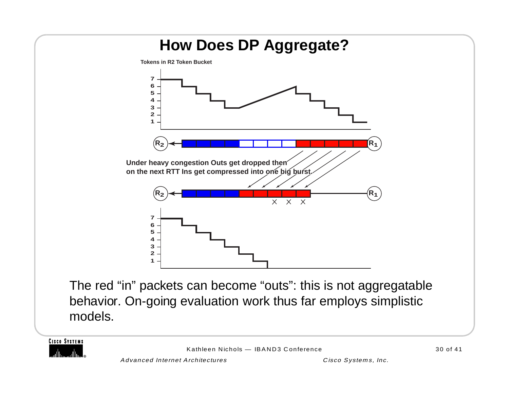

**CISCO SYSTEMS**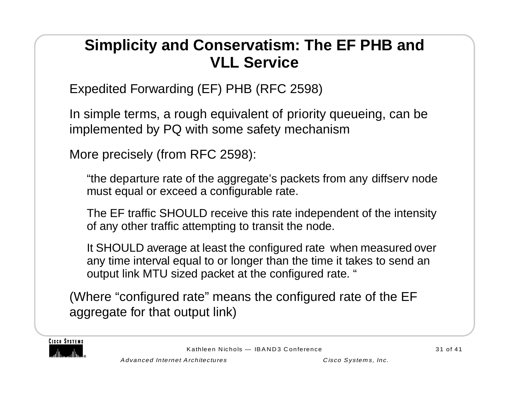### **Simplicity and Conservatism: The EF PHB and VLL Service**

Expedited Forwarding (EF) PHB (RFC 2598)

In simple terms, a rough equivalent of priority queueing, can be implemented by PQ with some safety mechanism

More precisely (from RFC 2598):

"the departure rate of the aggregate's packets from any diffserv node must equal or exceed a configurable rate.

The EF traffic SHOULD receive this rate independent of the intensity of any other traffic attempting to transit the node.

It SHOULD average at least the configured rate when measured over any time interval equal to or longer than the time it takes to send an output link MTU sized packet at the configured rate. "

(Where "configured rate" means the configured rate of the EF aggregate for that output link)

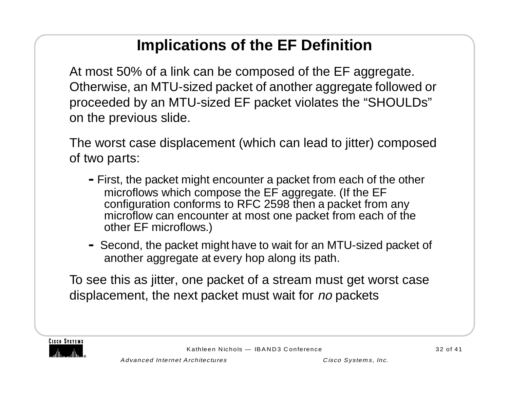### **Implications of the EF Definition**

At most 50% of a link can be composed of the EF aggregate. Otherwise, an MTU-sized packet of another aggregate followed or proceeded by an MTU-sized EF packet violates the "SHOULDs" on the previous slide.

The worst case displacement (which can lead to jitter) composed of two parts:

- **-**First, the packet might encounter a packet from each of the other microflows which compose the EF aggregate. (If the EF configuration conforms to RFC 2598 then a packet from any microflow can encounter at most one packet from each of the other EF microflows.)
- **-** Second, the packet might have to wait for an MTU-sized packet of another aggregate at every hop along its path.

To see this as jitter, one packet of a stream must get worst case displacement, the next packet must wait for no packets

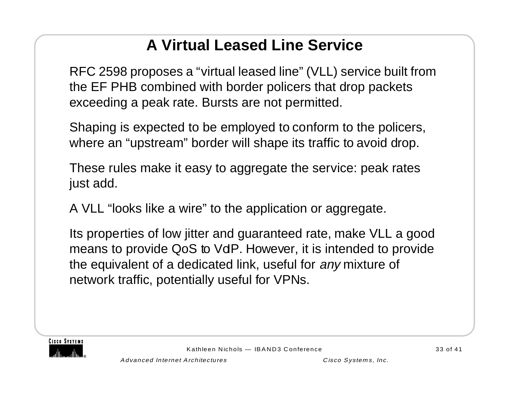# **A Virtual Leased Line Service**

RFC 2598 proposes a "virtual leased line" (VLL) service built from the EF PHB combined with border policers that drop packets exceeding a peak rate. Bursts are not permitted.

Shaping is expected to be employed to conform to the policers, where an "upstream" border will shape its traffic to avoid drop.

These rules make it easy to aggregate the service: peak rates just add.

A VLL "looks like a wire" to the application or aggregate.

Its properties of low jitter and guaranteed rate, make VLL a good means to provide QoS to VdP. However, it is intended to provide the equivalent of a dedicated link, useful for any mixture of network traffic, potentially useful for VPNs.

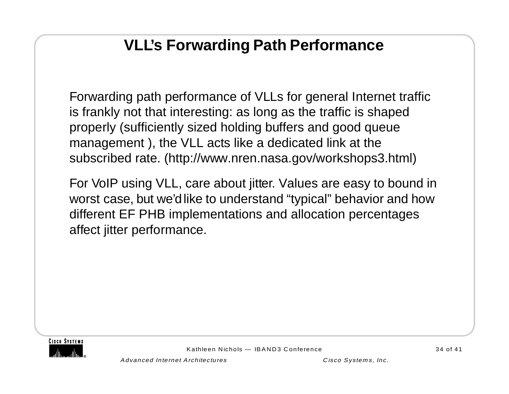### **VLL's Forwarding Path Performance**

Forwarding path performance of VLLs for general Internet traffic is frankly not that interesting: as long as the traffic is shaped properly (sufficiently sized holding buffers and good queue management ), the VLL acts like a dedicated link at the subscribed rate. (http://www.nren.nasa.gov/workshops3.html)

For VoIP using VLL, care about jitter. Values are easy to bound in worst case, but we'd like to understand "typical" behavior and how different EF PHB implementations and allocation percentages affect jitter performance.

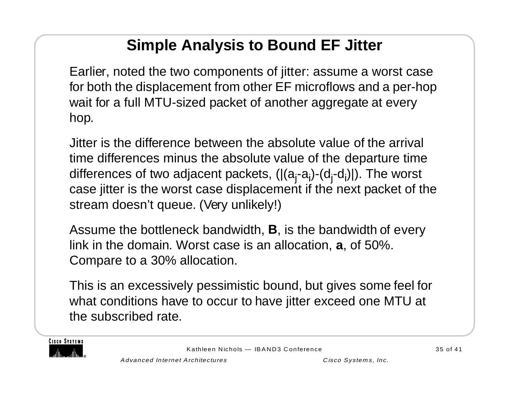# **Simple Analysis to Bound EF Jitter**

Earlier, noted the two components of jitter: assume a worst case for both the displacement from other EF microflows and a per-hop wait for a full MTU-sized packet of another aggregate at every hop.

Jitter is the difference between the absolute value of the arrival time differences minus the absolute value of the departure time differences of two adjacent packets,  $(|(a_i-a_i)-(d_i-d_i)|)$ . The worst case jitter is the worst case displacement if the next packet of the stream doesn't queue. (Very unlikely!)

Assume the bottleneck bandwidth, **B**, is the bandwidth of every link in the domain. Worst case is an allocation, **<sup>a</sup>**, of 50%. Compare to a 30% allocation.

This is an excessively pessimistic bound, but gives some feel for what conditions have to occur to have jitter exceed one MTU at the subscribed rate.

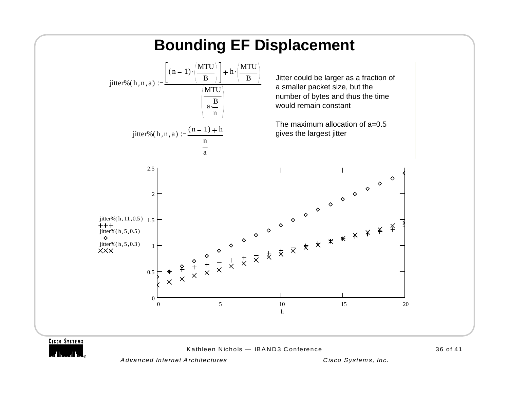

**CISCO SYSTEMS** 

Kathleen Nichols — IBAND3 Conference

36 of 41

Advanced Internet Architectures Cisco Systems, Inc.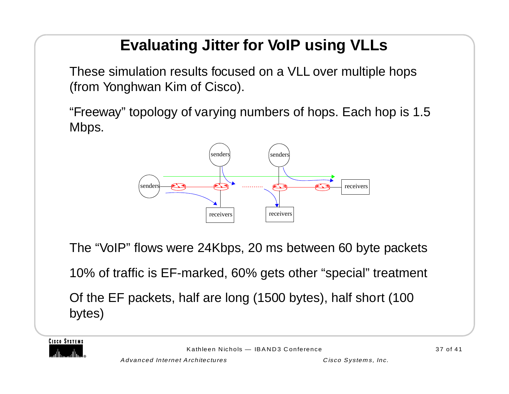# **Evaluating Jitter for VoIP using VLLs**

These simulation results focused on a VLL over multiple hops (from Yonghwan Kim of Cisco).

"Freeway" topology of varying numbers of hops. Each hop is 1.5 Mbps.



The "VoIP" flows were 24Kbps, 20 ms between 60 byte packets

10% of traffic is EF-marked, 60% gets other "special" treatment

Of the EF packets, half are long (1500 bytes), half short (100 bytes)

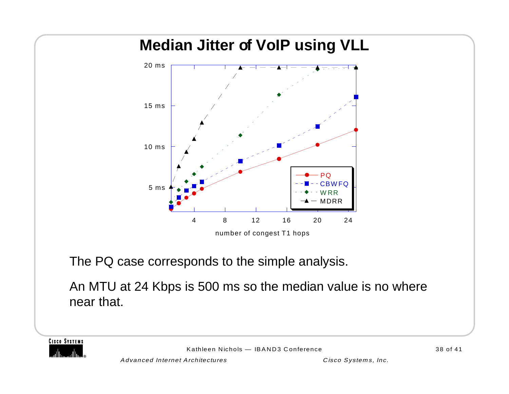#### **Median Jitter of VoIP using VLL** 5 ms 10 ms15 ms20 ms4 8 12 16 20 2424 PQCBWFQ**WRR** – MDRR number of congest T1 hops

The PQ case corresponds to the simple analysis.

An MTU at 24 Kbps is 500 ms so the median value is no where near that.

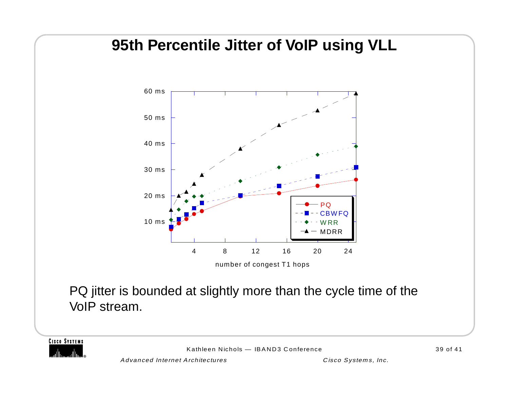#### **95th Percentile Jitter of VoIP using VLL**



number of congest T1 hops

PQ jitter is bounded at slightly more than the cycle time of the VoIP stream.

**CISCO SYSTEMS** 

Kathleen Nichols — IBAND3 Conference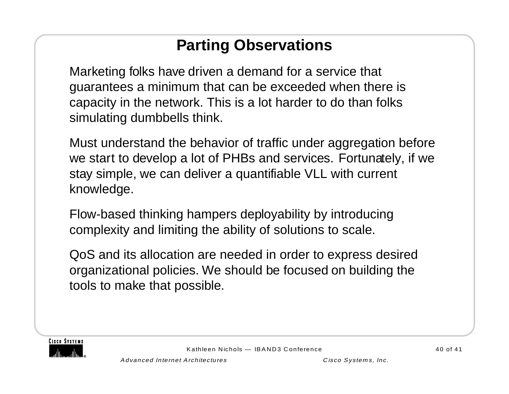### **Parting Observations**

Marketing folks have driven a demand for a service that guarantees a minimum that can be exceeded when there is capacity in the network. This is a lot harder to do than folks simulating dumbbells think.

Must understand the behavior of traffic under aggregation before we start to develop a lot of PHBs and services. Fortunately, if we stay simple, we can deliver a quantifiable VLL with current knowledge.

Flow-based thinking hampers deployability by introducing complexity and limiting the ability of solutions to scale.

QoS and its allocation are needed in order to express desired organizational policies. We should be focused on building the tools to make that possible.